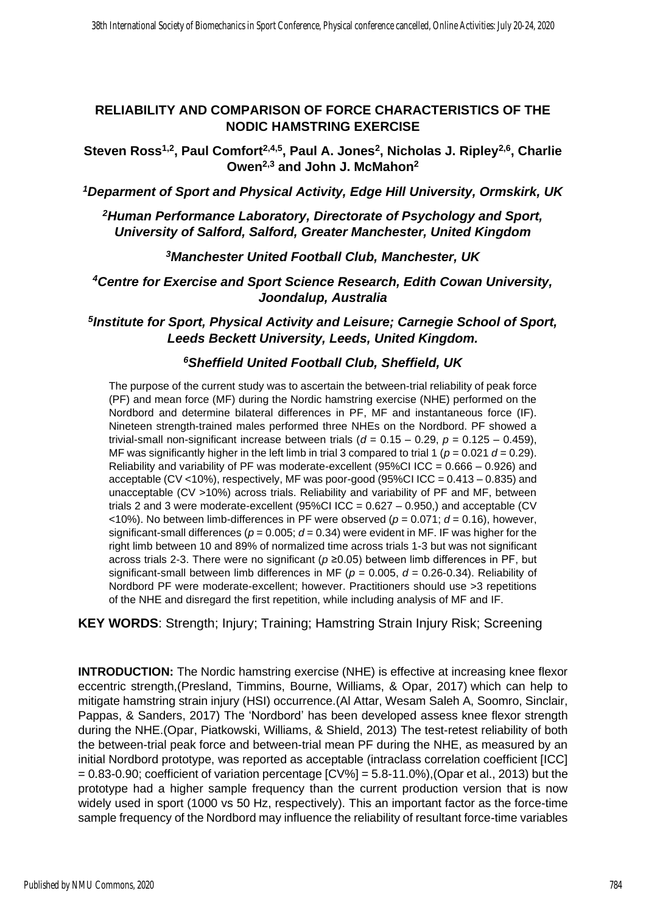## **RELIABILITY AND COMPARISON OF FORCE CHARACTERISTICS OF THE NODIC HAMSTRING EXERCISE**

**Steven Ross1,2, Paul Comfort2,4,5, Paul A. Jones<sup>2</sup> , Nicholas J. Ripley2,6, Charlie Owen2,3 and John J. McMahon<sup>2</sup>**

*<sup>1</sup>Deparment of Sport and Physical Activity, Edge Hill University, Ormskirk, UK*

*<sup>2</sup>Human Performance Laboratory, Directorate of Psychology and Sport, University of Salford, Salford, Greater Manchester, United Kingdom*

*<sup>3</sup>Manchester United Football Club, Manchester, UK*

*<sup>4</sup>Centre for Exercise and Sport Science Research, Edith Cowan University, Joondalup, Australia*

*5 Institute for Sport, Physical Activity and Leisure; Carnegie School of Sport, Leeds Beckett University, Leeds, United Kingdom.*

## *<sup>6</sup>Sheffield United Football Club, Sheffield, UK*

The purpose of the current study was to ascertain the between-trial reliability of peak force (PF) and mean force (MF) during the Nordic hamstring exercise (NHE) performed on the Nordbord and determine bilateral differences in PF, MF and instantaneous force (IF). Nineteen strength-trained males performed three NHEs on the Nordbord. PF showed a trivial-small non-significant increase between trials ( $d = 0.15 - 0.29$ ,  $p = 0.125 - 0.459$ ), MF was significantly higher in the left limb in trial 3 compared to trial 1 ( $p = 0.021$   $d = 0.29$ ). Reliability and variability of PF was moderate-excellent (95%CI ICC =  $0.666 - 0.926$ ) and acceptable (CV <10%), respectively, MF was poor-good (95%CI ICC = 0.413 – 0.835) and unacceptable (CV >10%) across trials. Reliability and variability of PF and MF, between trials 2 and 3 were moderate-excellent (95%CI ICC =  $0.627 - 0.950$ ) and acceptable (CV  $(10\%)$ . No between limb-differences in PF were observed ( $p = 0.071$ ;  $d = 0.16$ ), however, significant-small differences ( $p = 0.005$ ;  $d = 0.34$ ) were evident in MF. IF was higher for the right limb between 10 and 89% of normalized time across trials 1-3 but was not significant across trials 2-3. There were no significant (*p* ≥0.05) between limb differences in PF, but significant-small between limb differences in MF (*p* = 0.005, *d* = 0.26-0.34). Reliability of Nordbord PF were moderate-excellent; however. Practitioners should use >3 repetitions of the NHE and disregard the first repetition, while including analysis of MF and IF.

**KEY WORDS**: Strength; Injury; Training; Hamstring Strain Injury Risk; Screening

**INTRODUCTION:** The Nordic hamstring exercise (NHE) is effective at increasing knee flexor eccentric strength,(Presland, Timmins, Bourne, Williams, & Opar, 2017) which can help to mitigate hamstring strain injury (HSI) occurrence.(Al Attar, Wesam Saleh A, Soomro, Sinclair, Pappas, & Sanders, 2017) The 'Nordbord' has been developed assess knee flexor strength during the NHE.(Opar, Piatkowski, Williams, & Shield, 2013) The test-retest reliability of both the between-trial peak force and between-trial mean PF during the NHE, as measured by an initial Nordbord prototype, was reported as acceptable (intraclass correlation coefficient [ICC]  $= 0.83-0.90$ ; coefficient of variation percentage  $[CV\%] = 5.8-11.0\%$ ), (Opar et al., 2013) but the prototype had a higher sample frequency than the current production version that is now widely used in sport (1000 vs 50 Hz, respectively). This an important factor as the force-time sample frequency of the Nordbord may influence the reliability of resultant force-time variables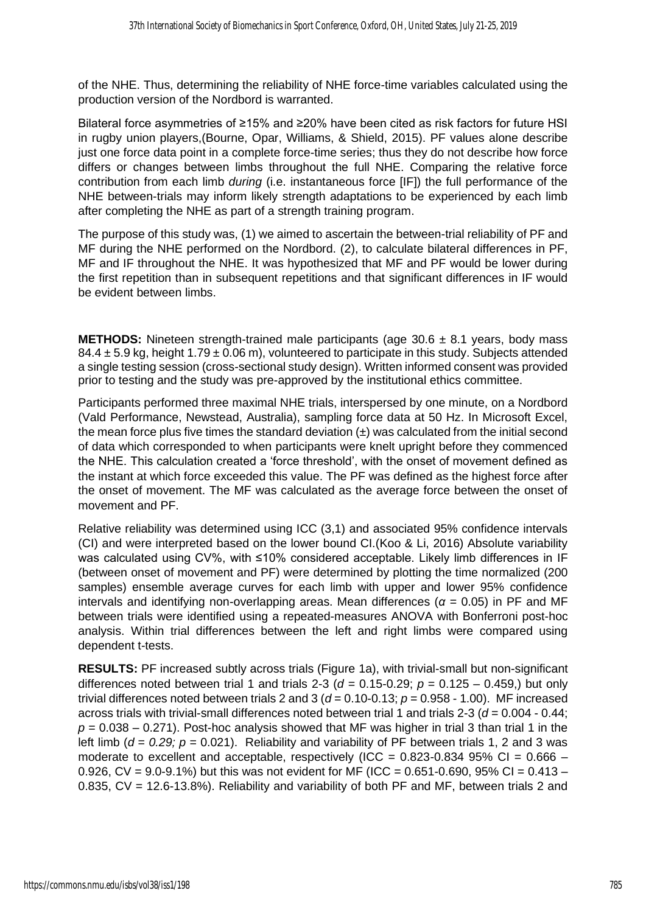of the NHE. Thus, determining the reliability of NHE force-time variables calculated using the production version of the Nordbord is warranted.

Bilateral force asymmetries of ≥15% and ≥20% have been cited as risk factors for future HSI in rugby union players,(Bourne, Opar, Williams, & Shield, 2015). PF values alone describe just one force data point in a complete force-time series; thus they do not describe how force differs or changes between limbs throughout the full NHE. Comparing the relative force contribution from each limb *during* (i.e. instantaneous force [IF]) the full performance of the NHE between-trials may inform likely strength adaptations to be experienced by each limb after completing the NHE as part of a strength training program.

The purpose of this study was, (1) we aimed to ascertain the between-trial reliability of PF and MF during the NHE performed on the Nordbord. (2), to calculate bilateral differences in PF, MF and IF throughout the NHE. It was hypothesized that MF and PF would be lower during the first repetition than in subsequent repetitions and that significant differences in IF would be evident between limbs.

**METHODS:** Nineteen strength-trained male participants (age 30.6 ± 8.1 years, body mass  $84.4 \pm 5.9$  kg, height  $1.79 \pm 0.06$  m), volunteered to participate in this study. Subjects attended a single testing session (cross-sectional study design). Written informed consent was provided prior to testing and the study was pre-approved by the institutional ethics committee.

Participants performed three maximal NHE trials, interspersed by one minute, on a Nordbord (Vald Performance, Newstead, Australia), sampling force data at 50 Hz. In Microsoft Excel, the mean force plus five times the standard deviation  $(\pm)$  was calculated from the initial second of data which corresponded to when participants were knelt upright before they commenced the NHE. This calculation created a 'force threshold', with the onset of movement defined as the instant at which force exceeded this value. The PF was defined as the highest force after the onset of movement. The MF was calculated as the average force between the onset of movement and PF.

Relative reliability was determined using ICC (3,1) and associated 95% confidence intervals (CI) and were interpreted based on the lower bound CI.(Koo & Li, 2016) Absolute variability was calculated using CV%, with ≤10% considered acceptable. Likely limb differences in IF (between onset of movement and PF) were determined by plotting the time normalized (200 samples) ensemble average curves for each limb with upper and lower 95% confidence intervals and identifying non-overlapping areas. Mean differences ( $\alpha$  = 0.05) in PF and MF between trials were identified using a repeated-measures ANOVA with Bonferroni post-hoc analysis. Within trial differences between the left and right limbs were compared using dependent t-tests.

**RESULTS:** PF increased subtly across trials (Figure 1a), with trivial-small but non-significant differences noted between trial 1 and trials 2-3 ( $d = 0.15 - 0.29$ ;  $p = 0.125 - 0.459$ .) but only trivial differences noted between trials 2 and 3 ( $d = 0.10$ -0.13;  $p = 0.958 - 1.00$ ). MF increased across trials with trivial-small differences noted between trial 1 and trials 2-3 (*d* = 0.004 - 0.44;  $p = 0.038 - 0.271$ ). Post-hoc analysis showed that MF was higher in trial 3 than trial 1 in the left limb ( $d = 0.29$ ;  $p = 0.021$ ). Reliability and variability of PF between trials 1, 2 and 3 was moderate to excellent and acceptable, respectively (ICC =  $0.823-0.834$  95% CI =  $0.666$  – 0.926,  $CV = 9.0 - 9.1\%$ ) but this was not evident for MF (ICC = 0.651-0.690, 95% CI = 0.413 – 0.835, CV = 12.6-13.8%). Reliability and variability of both PF and MF, between trials 2 and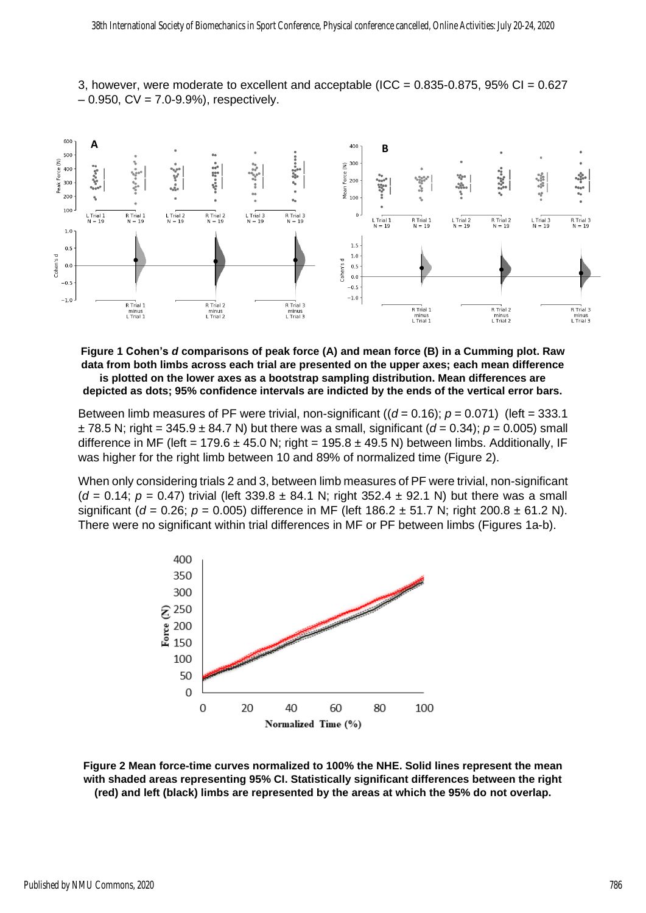



**Figure 1 Cohen's** *d* **comparisons of peak force (A) and mean force (B) in a Cumming plot. Raw data from both limbs across each trial are presented on the upper axes; each mean difference is plotted on the lower axes as a bootstrap sampling distribution. Mean differences are depicted as dots; 95% confidence intervals are indicted by the ends of the vertical error bars.**

Between limb measures of PF were trivial, non-significant  $((d = 0.16); p = 0.071)$  (left = 333.1)  $± 78.5$  N; right = 345.9  $± 84.7$  N) but there was a small, significant ( $d = 0.34$ );  $p = 0.005$ ) small difference in MF (left = 179.6  $\pm$  45.0 N; right = 195.8  $\pm$  49.5 N) between limbs. Additionally, IF was higher for the right limb between 10 and 89% of normalized time (Figure 2).

When only considering trials 2 and 3, between limb measures of PF were trivial, non-significant (*d* = 0.14; *p* = 0.47) trivial (left 339.8 ± 84.1 N; right 352.4 ± 92.1 N) but there was a small significant ( $d = 0.26$ ;  $p = 0.005$ ) difference in MF (left 186.2  $\pm$  51.7 N; right 200.8  $\pm$  61.2 N). There were no significant within trial differences in MF or PF between limbs (Figures 1a-b).



**Figure 2 Mean force-time curves normalized to 100% the NHE. Solid lines represent the mean with shaded areas representing 95% CI. Statistically significant differences between the right (red) and left (black) limbs are represented by the areas at which the 95% do not overlap.**